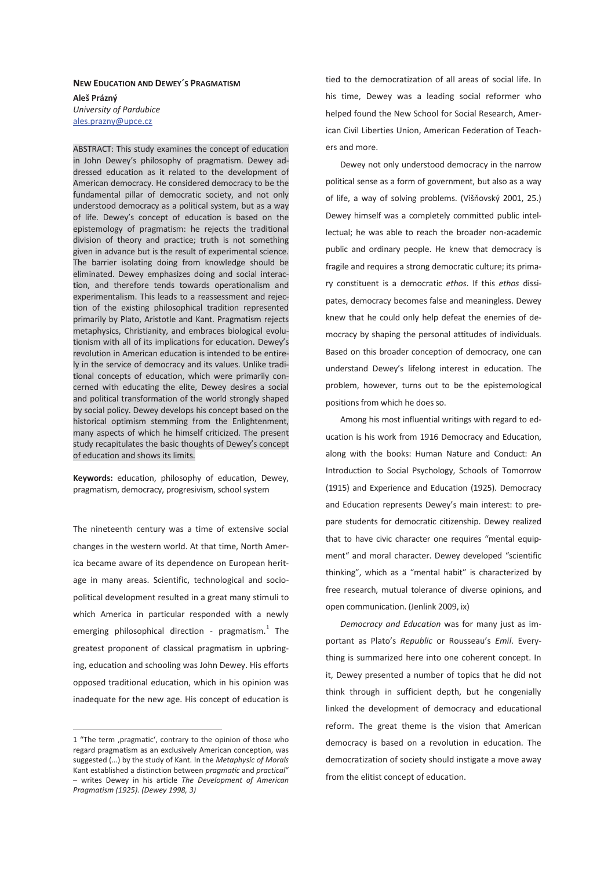# **NEW EDUCATION AND DEWEY´S PRAGMATISM**

**Aleš Prázný**  *University of Pardubice*  ales.prazny@upce.cz

ABSTRACT: This study examines the concept of education in John Dewey's philosophy of pragmatism. Dewey addressed education as it related to the development of American democracy. He considered democracy to be the fundamental pillar of democratic society, and not only understood democracy as a political system, but as a way of life. Dewey's concept of education is based on the epistemology of pragmatism: he rejects the traditional division of theory and practice; truth is not something given in advance but is the result of experimental science. The barrier isolating doing from knowledge should be eliminated. Dewey emphasizes doing and social interaction, and therefore tends towards operationalism and experimentalism. This leads to a reassessment and rejection of the existing philosophical tradition represented primarily by Plato, Aristotle and Kant. Pragmatism rejects metaphysics, Christianity, and embraces biological evolutionism with all of its implications for education. Dewey's revolution in American education is intended to be entirely in the service of democracy and its values. Unlike traditional concepts of education, which were primarily concerned with educating the elite, Dewey desires a social and political transformation of the world strongly shaped by social policy. Dewey develops his concept based on the historical optimism stemming from the Enlightenment, many aspects of which he himself criticized. The present study recapitulates the basic thoughts of Dewey's concept of education and shows its limits.

**Keywords:** education, philosophy of education, Dewey, pragmatism, democracy, progresivism, school system

The nineteenth century was a time of extensive social changes in the western world. At that time, North America became aware of its dependence on European heritage in many areas. Scientific, technological and sociopolitical development resulted in a great many stimuli to which America in particular responded with a newly emerging philosophical direction - pragmatism. $1$  The greatest proponent of classical pragmatism in upbringing, education and schooling was John Dewey. His efforts opposed traditional education, which in his opinion was inadequate for the new age. His concept of education is

-

tied to the democratization of all areas of social life. In his time, Dewey was a leading social reformer who helped found the New School for Social Research, American Civil Liberties Union, American Federation of Teachers and more.

Dewey not only understood democracy in the narrow political sense as a form of government, but also as a way of life, a way of solving problems. (Višňovský 2001, 25.) Dewey himself was a completely committed public intellectual; he was able to reach the broader non-academic public and ordinary people. He knew that democracy is fragile and requires a strong democratic culture; its primary constituent is a democratic *ethos*. If this *ethos* dissipates, democracy becomes false and meaningless. Dewey knew that he could only help defeat the enemies of democracy by shaping the personal attitudes of individuals. Based on this broader conception of democracy, one can understand Dewey's lifelong interest in education. The problem, however, turns out to be the epistemological positions from which he does so.

Among his most influential writings with regard to education is his work from 1916 Democracy and Education, along with the books: Human Nature and Conduct: An Introduction to Social Psychology, Schools of Tomorrow (1915) and Experience and Education (1925). Democracy and Education represents Dewey's main interest: to prepare students for democratic citizenship. Dewey realized that to have civic character one requires "mental equipment" and moral character. Dewey developed "scientific thinking", which as a "mental habit" is characterized by free research, mutual tolerance of diverse opinions, and open communication. (Jenlink 2009, ix)

*Democracy and Education* was for many just as important as Plato's *Republic* or Rousseau's *Emil*. Everything is summarized here into one coherent concept. In it, Dewey presented a number of topics that he did not think through in sufficient depth, but he congenially linked the development of democracy and educational reform. The great theme is the vision that American democracy is based on a revolution in education. The democratization of society should instigate a move away from the elitist concept of education.

<sup>1 &</sup>quot;The term ,pragmatic', contrary to the opinion of those who regard pragmatism as an exclusively American conception, was suggested (...) by the study of Kant. In the *Metaphysic of Morals* Kant established a distinction between *pragmatic* and *practical*" – writes Dewey in his article *The Development of American Pragmatism (1925). (Dewey 1998, 3)*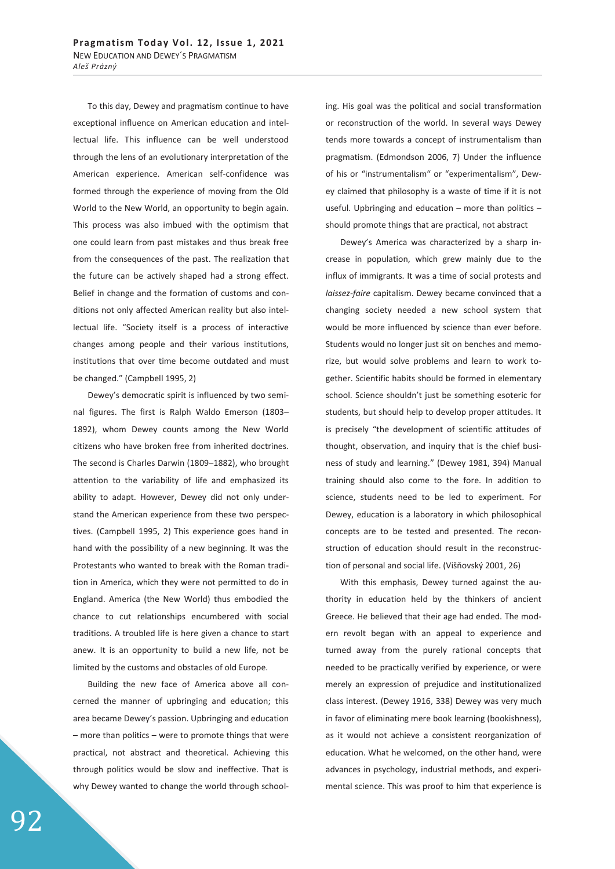To this day, Dewey and pragmatism continue to have exceptional influence on American education and intellectual life. This influence can be well understood through the lens of an evolutionary interpretation of the American experience. American self-confidence was formed through the experience of moving from the Old World to the New World, an opportunity to begin again. This process was also imbued with the optimism that one could learn from past mistakes and thus break free from the consequences of the past. The realization that the future can be actively shaped had a strong effect. Belief in change and the formation of customs and conditions not only affected American reality but also intellectual life. "Society itself is a process of interactive changes among people and their various institutions, institutions that over time become outdated and must be changed." (Campbell 1995, 2)

Dewey's democratic spirit is influenced by two seminal figures. The first is Ralph Waldo Emerson (1803– 1892), whom Dewey counts among the New World citizens who have broken free from inherited doctrines. The second is Charles Darwin (1809–1882), who brought attention to the variability of life and emphasized its ability to adapt. However, Dewey did not only understand the American experience from these two perspectives. (Campbell 1995, 2) This experience goes hand in hand with the possibility of a new beginning. It was the Protestants who wanted to break with the Roman tradition in America, which they were not permitted to do in England. America (the New World) thus embodied the chance to cut relationships encumbered with social traditions. A troubled life is here given a chance to start anew. It is an opportunity to build a new life, not be limited by the customs and obstacles of old Europe.

Building the new face of America above all concerned the manner of upbringing and education; this area became Dewey's passion. Upbringing and education – more than politics – were to promote things that were practical, not abstract and theoretical. Achieving this through politics would be slow and ineffective. That is why Dewey wanted to change the world through schooling. His goal was the political and social transformation or reconstruction of the world. In several ways Dewey tends more towards a concept of instrumentalism than pragmatism. (Edmondson 2006, 7) Under the influence of his or "instrumentalism" or "experimentalism", Dewey claimed that philosophy is a waste of time if it is not useful. Upbringing and education – more than politics – should promote things that are practical, not abstract

Dewey's America was characterized by a sharp increase in population, which grew mainly due to the influx of immigrants. It was a time of social protests and *laissez-faire* capitalism. Dewey became convinced that a changing society needed a new school system that would be more influenced by science than ever before. Students would no longer just sit on benches and memorize, but would solve problems and learn to work together. Scientific habits should be formed in elementary school. Science shouldn't just be something esoteric for students, but should help to develop proper attitudes. It is precisely "the development of scientific attitudes of thought, observation, and inquiry that is the chief business of study and learning." (Dewey 1981, 394) Manual training should also come to the fore. In addition to science, students need to be led to experiment. For Dewey, education is a laboratory in which philosophical concepts are to be tested and presented. The reconstruction of education should result in the reconstruction of personal and social life. (Višňovský 2001, 26)

With this emphasis, Dewey turned against the authority in education held by the thinkers of ancient Greece. He believed that their age had ended. The modern revolt began with an appeal to experience and turned away from the purely rational concepts that needed to be practically verified by experience, or were merely an expression of prejudice and institutionalized class interest. (Dewey 1916, 338) Dewey was very much in favor of eliminating mere book learning (bookishness), as it would not achieve a consistent reorganization of education. What he welcomed, on the other hand, were advances in psychology, industrial methods, and experimental science. This was proof to him that experience is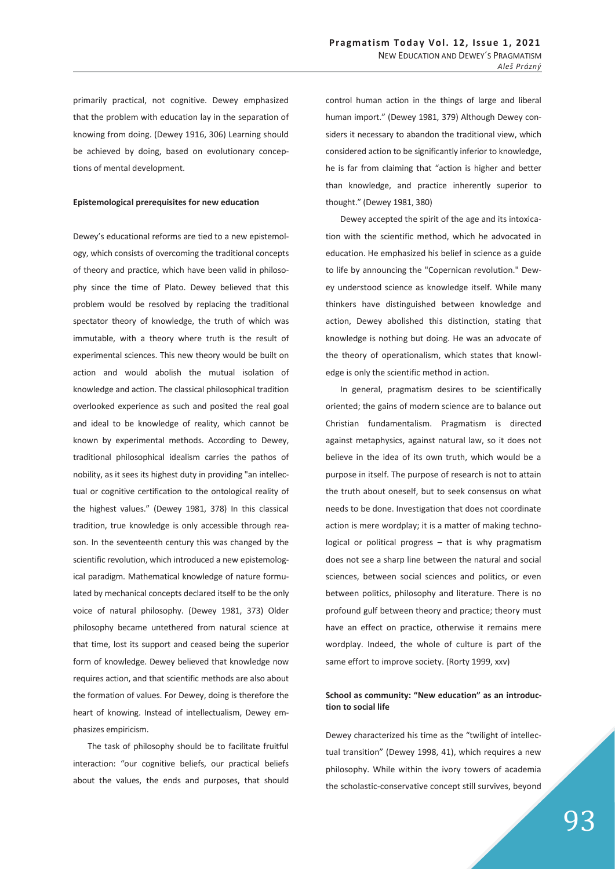primarily practical, not cognitive. Dewey emphasized that the problem with education lay in the separation of knowing from doing. (Dewey 1916, 306) Learning should be achieved by doing, based on evolutionary conceptions of mental development.

#### **Epistemological prerequisites for new education**

Dewey's educational reforms are tied to a new epistemology, which consists of overcoming the traditional concepts of theory and practice, which have been valid in philosophy since the time of Plato. Dewey believed that this problem would be resolved by replacing the traditional spectator theory of knowledge, the truth of which was immutable, with a theory where truth is the result of experimental sciences. This new theory would be built on action and would abolish the mutual isolation of knowledge and action. The classical philosophical tradition overlooked experience as such and posited the real goal and ideal to be knowledge of reality, which cannot be known by experimental methods. According to Dewey, traditional philosophical idealism carries the pathos of nobility, as it sees its highest duty in providing "an intellectual or cognitive certification to the ontological reality of the highest values." (Dewey 1981, 378) In this classical tradition, true knowledge is only accessible through reason. In the seventeenth century this was changed by the scientific revolution, which introduced a new epistemological paradigm. Mathematical knowledge of nature formulated by mechanical concepts declared itself to be the only voice of natural philosophy. (Dewey 1981, 373) Older philosophy became untethered from natural science at that time, lost its support and ceased being the superior form of knowledge. Dewey believed that knowledge now requires action, and that scientific methods are also about the formation of values. For Dewey, doing is therefore the heart of knowing. Instead of intellectualism, Dewey emphasizes empiricism.

The task of philosophy should be to facilitate fruitful interaction: "our cognitive beliefs, our practical beliefs about the values, the ends and purposes, that should

control human action in the things of large and liberal human import." (Dewey 1981, 379) Although Dewey considers it necessary to abandon the traditional view, which considered action to be significantly inferior to knowledge, he is far from claiming that "action is higher and better than knowledge, and practice inherently superior to thought." (Dewey 1981, 380)

Dewey accepted the spirit of the age and its intoxication with the scientific method, which he advocated in education. He emphasized his belief in science as a guide to life by announcing the "Copernican revolution." Dewey understood science as knowledge itself. While many thinkers have distinguished between knowledge and action, Dewey abolished this distinction, stating that knowledge is nothing but doing. He was an advocate of the theory of operationalism, which states that knowledge is only the scientific method in action.

In general, pragmatism desires to be scientifically oriented; the gains of modern science are to balance out Christian fundamentalism. Pragmatism is directed against metaphysics, against natural law, so it does not believe in the idea of its own truth, which would be a purpose in itself. The purpose of research is not to attain the truth about oneself, but to seek consensus on what needs to be done. Investigation that does not coordinate action is mere wordplay; it is a matter of making technological or political progress – that is why pragmatism does not see a sharp line between the natural and social sciences, between social sciences and politics, or even between politics, philosophy and literature. There is no profound gulf between theory and practice; theory must have an effect on practice, otherwise it remains mere wordplay. Indeed, the whole of culture is part of the same effort to improve society. (Rorty 1999, xxv)

## **School as community: "New education" as an introduction to social life**

Dewey characterized his time as the "twilight of intellectual transition" (Dewey 1998, 41), which requires a new philosophy. While within the ivory towers of academia the scholastic-conservative concept still survives, beyond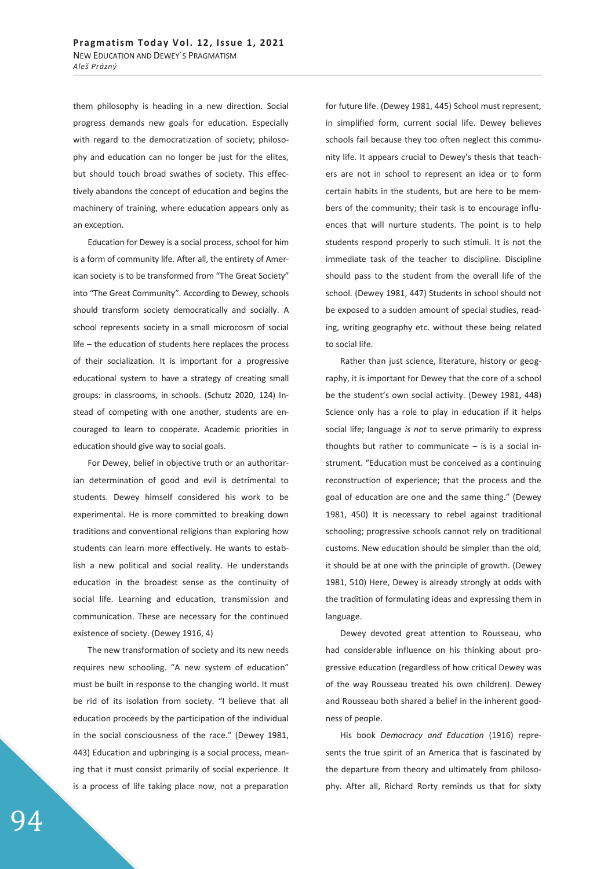them philosophy is heading in a new direction. Social progress demands new goals for education. Especially with regard to the democratization of society; philosophy and education can no longer be just for the elites, but should touch broad swathes of society. This effectively abandons the concept of education and begins the machinery of training, where education appears only as an exception.

Education for Dewey is a social process, school for him is a form of community life. After all, the entirety of American society is to be transformed from "The Great Society" into "The Great Community". According to Dewey, schools should transform society democratically and socially. A school represents society in a small microcosm of social life – the education of students here replaces the process of their socialization. It is important for a progressive educational system to have a strategy of creating small groups: in classrooms, in schools. (Schutz 2020, 124) Instead of competing with one another, students are encouraged to learn to cooperate. Academic priorities in education should give way to social goals.

For Dewey, belief in objective truth or an authoritarian determination of good and evil is detrimental to students. Dewey himself considered his work to be experimental. He is more committed to breaking down traditions and conventional religions than exploring how students can learn more effectively. He wants to establish a new political and social reality. He understands education in the broadest sense as the continuity of social life. Learning and education, transmission and communication. These are necessary for the continued existence of society. (Dewey 1916, 4)

The new transformation of society and its new needs requires new schooling. "A new system of education" must be built in response to the changing world. It must be rid of its isolation from society. "I believe that all education proceeds by the participation of the individual in the social consciousness of the race." (Dewey 1981, 443) Education and upbringing is a social process, meaning that it must consist primarily of social experience. It is a process of life taking place now, not a preparation for future life. (Dewey 1981, 445) School must represent, in simplified form, current social life. Dewey believes schools fail because they too often neglect this community life. It appears crucial to Dewey's thesis that teachers are not in school to represent an idea or to form certain habits in the students, but are here to be members of the community; their task is to encourage influences that will nurture students. The point is to help students respond properly to such stimuli. It is not the immediate task of the teacher to discipline. Discipline should pass to the student from the overall life of the school. (Dewey 1981, 447) Students in school should not be exposed to a sudden amount of special studies, reading, writing geography etc. without these being related to social life.

Rather than just science, literature, history or geography, it is important for Dewey that the core of a school be the student's own social activity. (Dewey 1981, 448) Science only has a role to play in education if it helps social life; language *is not* to serve primarily to express thoughts but rather to communicate  $-$  is is a social instrument. "Education must be conceived as a continuing reconstruction of experience; that the process and the goal of education are one and the same thing." (Dewey 1981, 450) It is necessary to rebel against traditional schooling; progressive schools cannot rely on traditional customs. New education should be simpler than the old, it should be at one with the principle of growth. (Dewey 1981, 510) Here, Dewey is already strongly at odds with the tradition of formulating ideas and expressing them in language.

Dewey devoted great attention to Rousseau, who had considerable influence on his thinking about progressive education (regardless of how critical Dewey was of the way Rousseau treated his own children). Dewey and Rousseau both shared a belief in the inherent goodness of people.

His book *Democracy and Education* (1916) represents the true spirit of an America that is fascinated by the departure from theory and ultimately from philosophy. After all, Richard Rorty reminds us that for sixty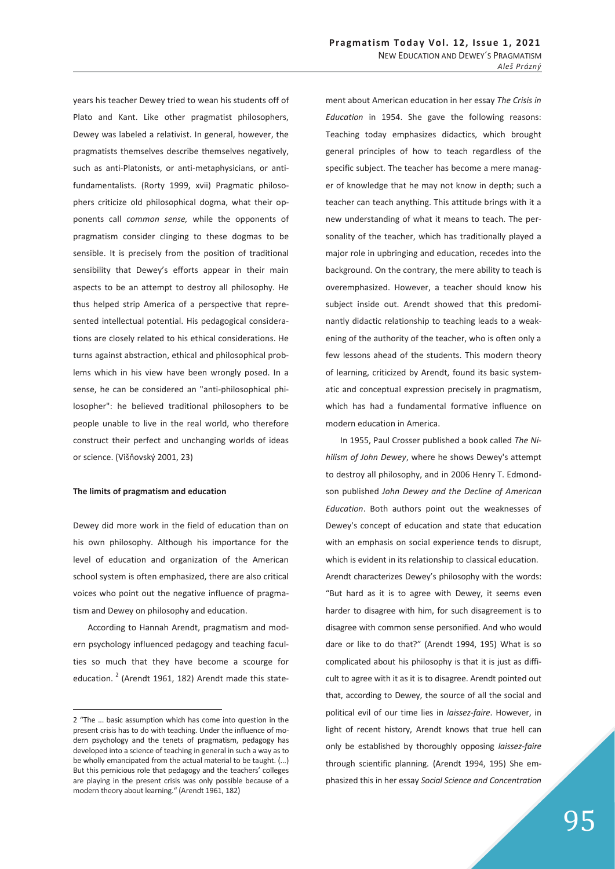years his teacher Dewey tried to wean his students off of Plato and Kant. Like other pragmatist philosophers, Dewey was labeled a relativist. In general, however, the pragmatists themselves describe themselves negatively, such as anti-Platonists, or anti-metaphysicians, or antifundamentalists. (Rorty 1999, xvii) Pragmatic philosophers criticize old philosophical dogma, what their opponents call *common sense,* while the opponents of pragmatism consider clinging to these dogmas to be sensible. It is precisely from the position of traditional sensibility that Dewey's efforts appear in their main aspects to be an attempt to destroy all philosophy. He thus helped strip America of a perspective that represented intellectual potential. His pedagogical considerations are closely related to his ethical considerations. He turns against abstraction, ethical and philosophical problems which in his view have been wrongly posed. In a sense, he can be considered an "anti-philosophical philosopher": he believed traditional philosophers to be people unable to live in the real world, who therefore construct their perfect and unchanging worlds of ideas or science. (Višňovský 2001, 23)

### **The limits of pragmatism and education**

Dewey did more work in the field of education than on his own philosophy. Although his importance for the level of education and organization of the American school system is often emphasized, there are also critical voices who point out the negative influence of pragmatism and Dewey on philosophy and education.

According to Hannah Arendt, pragmatism and modern psychology influenced pedagogy and teaching faculties so much that they have become a scourge for education.<sup>2</sup> (Arendt 1961, 182) Arendt made this state-

 $\overline{a}$ 

ment about American education in her essay *The Crisis in Education* in 1954. She gave the following reasons: Teaching today emphasizes didactics, which brought general principles of how to teach regardless of the specific subject. The teacher has become a mere manager of knowledge that he may not know in depth; such a teacher can teach anything. This attitude brings with it a new understanding of what it means to teach. The personality of the teacher, which has traditionally played a major role in upbringing and education, recedes into the background. On the contrary, the mere ability to teach is overemphasized. However, a teacher should know his subject inside out. Arendt showed that this predominantly didactic relationship to teaching leads to a weakening of the authority of the teacher, who is often only a few lessons ahead of the students. This modern theory of learning, criticized by Arendt, found its basic systematic and conceptual expression precisely in pragmatism, which has had a fundamental formative influence on modern education in America.

In 1955, Paul Crosser published a book called *The Nihilism of John Dewey*, where he shows Dewey's attempt to destroy all philosophy, and in 2006 Henry T. Edmondson published *John Dewey and the Decline of American Education*. Both authors point out the weaknesses of Dewey's concept of education and state that education with an emphasis on social experience tends to disrupt, which is evident in its relationship to classical education. Arendt characterizes Dewey's philosophy with the words: "But hard as it is to agree with Dewey, it seems even harder to disagree with him, for such disagreement is to disagree with common sense personified. And who would dare or like to do that?" (Arendt 1994, 195) What is so complicated about his philosophy is that it is just as difficult to agree with it as it is to disagree. Arendt pointed out that, according to Dewey, the source of all the social and political evil of our time lies in *laissez-faire*. However, in light of recent history, Arendt knows that true hell can only be established by thoroughly opposing *laissez-faire* through scientific planning. (Arendt 1994, 195) She emphasized this in her essay *Social Science and Concentration* 

<sup>2 &</sup>quot;The ... basic assumption which has come into question in the present crisis has to do with teaching. Under the influence of modern psychology and the tenets of pragmatism, pedagogy has developed into a science of teaching in general in such a way as to be wholly emancipated from the actual material to be taught. (...) But this pernicious role that pedagogy and the teachers' colleges are playing in the present crisis was only possible because of a modern theory about learning." (Arendt 1961, 182)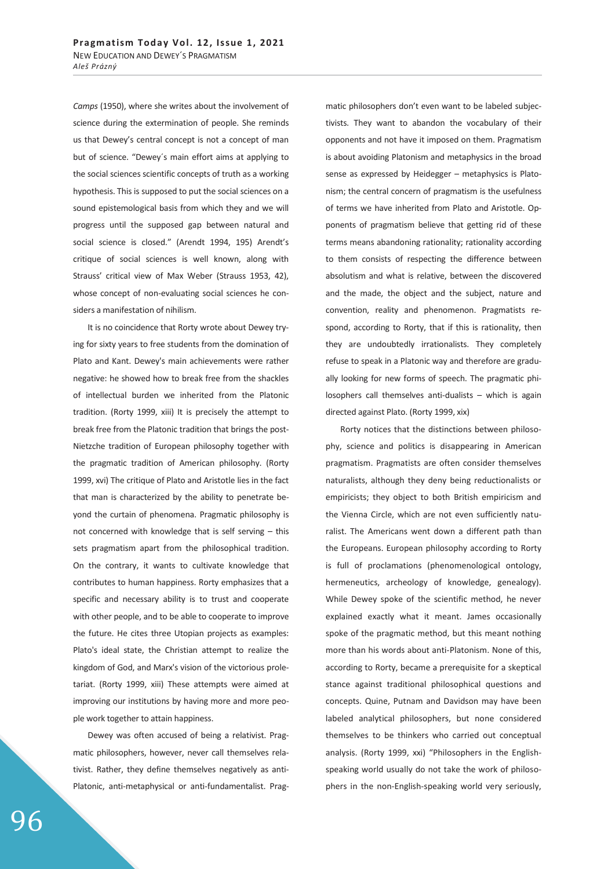*Camps* (1950), where she writes about the involvement of science during the extermination of people. She reminds us that Dewey's central concept is not a concept of man but of science. "Dewey´s main effort aims at applying to the social sciences scientific concepts of truth as a working hypothesis. This is supposed to put the social sciences on a sound epistemological basis from which they and we will progress until the supposed gap between natural and social science is closed." (Arendt 1994, 195) Arendt's critique of social sciences is well known, along with Strauss' critical view of Max Weber (Strauss 1953, 42), whose concept of non-evaluating social sciences he considers a manifestation of nihilism.

It is no coincidence that Rorty wrote about Dewey trying for sixty years to free students from the domination of Plato and Kant. Dewey's main achievements were rather negative: he showed how to break free from the shackles of intellectual burden we inherited from the Platonic tradition. (Rorty 1999, xiii) It is precisely the attempt to break free from the Platonic tradition that brings the post-Nietzche tradition of European philosophy together with the pragmatic tradition of American philosophy. (Rorty 1999, xvi) The critique of Plato and Aristotle lies in the fact that man is characterized by the ability to penetrate beyond the curtain of phenomena. Pragmatic philosophy is not concerned with knowledge that is self serving – this sets pragmatism apart from the philosophical tradition. On the contrary, it wants to cultivate knowledge that contributes to human happiness. Rorty emphasizes that a specific and necessary ability is to trust and cooperate with other people, and to be able to cooperate to improve the future. He cites three Utopian projects as examples: Plato's ideal state, the Christian attempt to realize the kingdom of God, and Marx's vision of the victorious proletariat. (Rorty 1999, xiii) These attempts were aimed at improving our institutions by having more and more people work together to attain happiness.

Dewey was often accused of being a relativist. Pragmatic philosophers, however, never call themselves relativist. Rather, they define themselves negatively as anti-Platonic, anti-metaphysical or anti-fundamentalist. Pragmatic philosophers don't even want to be labeled subjectivists. They want to abandon the vocabulary of their opponents and not have it imposed on them. Pragmatism is about avoiding Platonism and metaphysics in the broad sense as expressed by Heidegger – metaphysics is Platonism; the central concern of pragmatism is the usefulness of terms we have inherited from Plato and Aristotle. Opponents of pragmatism believe that getting rid of these terms means abandoning rationality; rationality according to them consists of respecting the difference between absolutism and what is relative, between the discovered and the made, the object and the subject, nature and convention, reality and phenomenon. Pragmatists respond, according to Rorty, that if this is rationality, then they are undoubtedly irrationalists. They completely refuse to speak in a Platonic way and therefore are gradually looking for new forms of speech. The pragmatic philosophers call themselves anti-dualists – which is again directed against Plato. (Rorty 1999, xix)

Rorty notices that the distinctions between philosophy, science and politics is disappearing in American pragmatism. Pragmatists are often consider themselves naturalists, although they deny being reductionalists or empiricists; they object to both British empiricism and the Vienna Circle, which are not even sufficiently naturalist. The Americans went down a different path than the Europeans. European philosophy according to Rorty is full of proclamations (phenomenological ontology, hermeneutics, archeology of knowledge, genealogy). While Dewey spoke of the scientific method, he never explained exactly what it meant. James occasionally spoke of the pragmatic method, but this meant nothing more than his words about anti-Platonism. None of this, according to Rorty, became a prerequisite for a skeptical stance against traditional philosophical questions and concepts. Quine, Putnam and Davidson may have been labeled analytical philosophers, but none considered themselves to be thinkers who carried out conceptual analysis. (Rorty 1999, xxi) "Philosophers in the Englishspeaking world usually do not take the work of philosophers in the non-English-speaking world very seriously,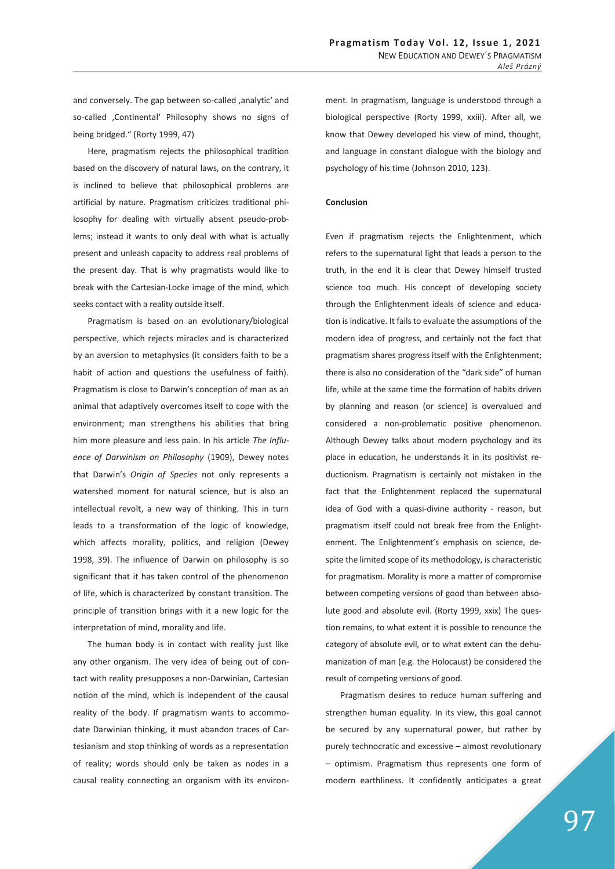and conversely. The gap between so-called , analytic' and so-called ,Continental' Philosophy shows no signs of being bridged." (Rorty 1999, 47)

Here, pragmatism rejects the philosophical tradition based on the discovery of natural laws, on the contrary, it is inclined to believe that philosophical problems are artificial by nature. Pragmatism criticizes traditional philosophy for dealing with virtually absent pseudo-problems; instead it wants to only deal with what is actually present and unleash capacity to address real problems of the present day. That is why pragmatists would like to break with the Cartesian-Locke image of the mind, which seeks contact with a reality outside itself.

Pragmatism is based on an evolutionary/biological perspective, which rejects miracles and is characterized by an aversion to metaphysics (it considers faith to be a habit of action and questions the usefulness of faith). Pragmatism is close to Darwin's conception of man as an animal that adaptively overcomes itself to cope with the environment; man strengthens his abilities that bring him more pleasure and less pain. In his article *The Influence of Darwinism on Philosophy* (1909), Dewey notes that Darwin's *Origin of Species* not only represents a watershed moment for natural science, but is also an intellectual revolt, a new way of thinking. This in turn leads to a transformation of the logic of knowledge, which affects morality, politics, and religion (Dewey 1998, 39). The influence of Darwin on philosophy is so significant that it has taken control of the phenomenon of life, which is characterized by constant transition. The principle of transition brings with it a new logic for the interpretation of mind, morality and life.

The human body is in contact with reality just like any other organism. The very idea of being out of contact with reality presupposes a non-Darwinian, Cartesian notion of the mind, which is independent of the causal reality of the body. If pragmatism wants to accommodate Darwinian thinking, it must abandon traces of Cartesianism and stop thinking of words as a representation of reality; words should only be taken as nodes in a causal reality connecting an organism with its environment. In pragmatism, language is understood through a biological perspective (Rorty 1999, xxiii). After all, we know that Dewey developed his view of mind, thought, and language in constant dialogue with the biology and psychology of his time (Johnson 2010, 123).

### **Conclusion**

Even if pragmatism rejects the Enlightenment, which refers to the supernatural light that leads a person to the truth, in the end it is clear that Dewey himself trusted science too much. His concept of developing society through the Enlightenment ideals of science and education is indicative. It fails to evaluate the assumptions of the modern idea of progress, and certainly not the fact that pragmatism shares progress itself with the Enlightenment; there is also no consideration of the "dark side" of human life, while at the same time the formation of habits driven by planning and reason (or science) is overvalued and considered a non-problematic positive phenomenon. Although Dewey talks about modern psychology and its place in education, he understands it in its positivist reductionism. Pragmatism is certainly not mistaken in the fact that the Enlightenment replaced the supernatural idea of God with a quasi-divine authority - reason, but pragmatism itself could not break free from the Enlightenment. The Enlightenment's emphasis on science, despite the limited scope of its methodology, is characteristic for pragmatism. Morality is more a matter of compromise between competing versions of good than between absolute good and absolute evil. (Rorty 1999, xxix) The question remains, to what extent it is possible to renounce the category of absolute evil, or to what extent can the dehumanization of man (e.g. the Holocaust) be considered the result of competing versions of good.

Pragmatism desires to reduce human suffering and strengthen human equality. In its view, this goal cannot be secured by any supernatural power, but rather by purely technocratic and excessive – almost revolutionary – optimism. Pragmatism thus represents one form of modern earthliness. It confidently anticipates a great